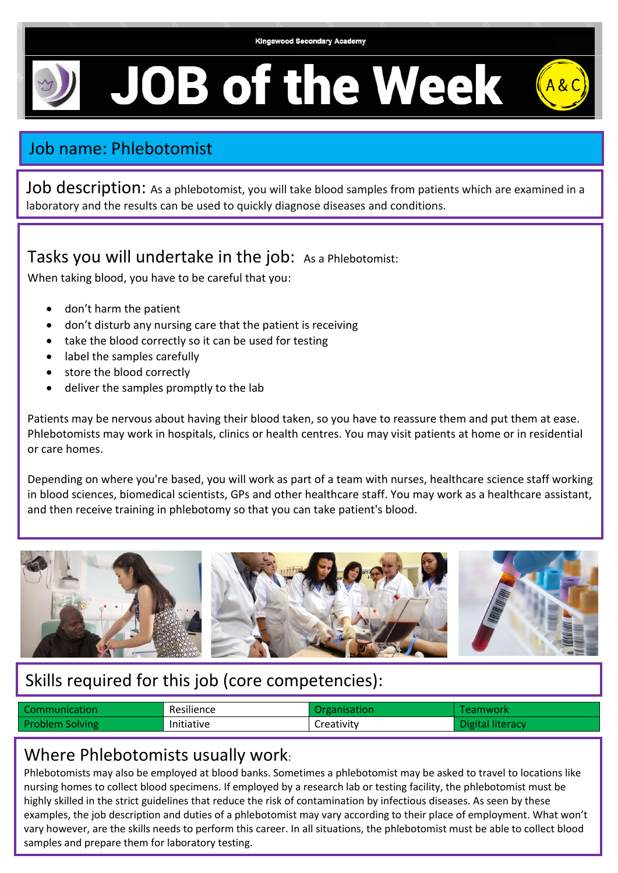

**JOB of the Week** 

# Job name: Phlebotomist

Job description: As a phlebotomist, you will take blood samples from patients which are examined in a laboratory and the results can be used to quickly diagnose diseases and conditions.

Tasks you will undertake in the job: As a Phlebotomist:

When taking blood, you have to be careful that you:

- don't harm the patient
- don't disturb any nursing care that the patient is receiving
- take the blood correctly so it can be used for testing
- label the samples carefully
- store the blood correctly
- deliver the samples promptly to the lab

Patients may be nervous about having their blood taken, so you have to reassure them and put them at ease. Phlebotomists may work in hospitals, clinics or health centres. You may visit patients at home or in residential or care homes.

Depending on where you're based, you will work as part of a team with nurses, healthcare science staff working in blood sciences, biomedical scientists, GPs and other healthcare staff. You may work as a healthcare assistant, and then receive training in phlebotomy so that you can take patient's blood.



## Skills required for this job (core competencies):

| Communication          | Resilience        | )rganisation. | mwork           |
|------------------------|-------------------|---------------|-----------------|
| <b>Problem Solving</b> | <b>Initiative</b> | creativity    | <b>Niteracy</b> |

### Where Phlebotomists usually work:

Phlebotomists may also be employed at blood banks. Sometimes a phlebotomist may be asked to travel to locations like nursing homes to collect blood specimens. If employed by a research lab or testing facility, the phlebotomist must be highly skilled in the strict guidelines that reduce the risk of contamination by infectious diseases. As seen by these examples, the job description and duties of a phlebotomist may vary according to their place of employment. What won't vary however, are the skills needs to perform this career. In all situations, the phlebotomist must be able to collect blood samples and prepare them for laboratory testing.